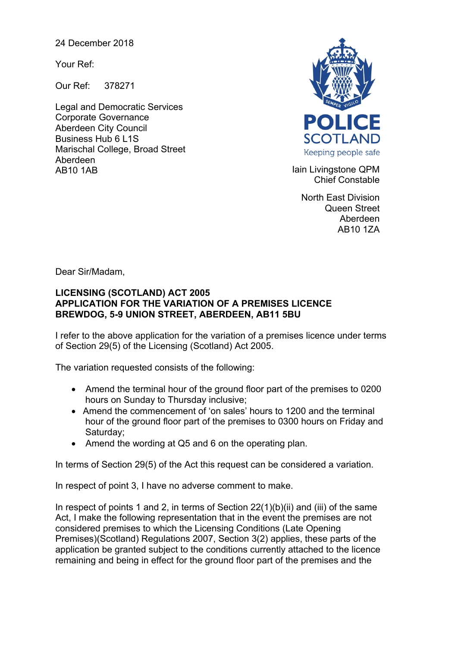24 December 2018

Your Ref:

Our Ref: 378271

Legal and Democratic Services Corporate Governance Aberdeen City Council Business Hub 6 L1S Marischal College, Broad Street Aberdeen AB10 1AB **Iain Livingstone QPM** 



Chief Constable

North East Division Queen Street Aberdeen AB10 1ZA

Dear Sir/Madam,

## **LICENSING (SCOTLAND) ACT 2005 APPLICATION FOR THE VARIATION OF A PREMISES LICENCE BREWDOG, 5-9 UNION STREET, ABERDEEN, AB11 5BU**

I refer to the above application for the variation of a premises licence under terms of Section 29(5) of the Licensing (Scotland) Act 2005.

The variation requested consists of the following:

- Amend the terminal hour of the ground floor part of the premises to 0200 hours on Sunday to Thursday inclusive;
- Amend the commencement of 'on sales' hours to 1200 and the terminal hour of the ground floor part of the premises to 0300 hours on Friday and Saturday;
- Amend the wording at Q5 and 6 on the operating plan.

In terms of Section 29(5) of the Act this request can be considered a variation.

In respect of point 3, I have no adverse comment to make.

In respect of points 1 and 2, in terms of Section  $22(1)(b)(ii)$  and (iii) of the same Act, I make the following representation that in the event the premises are not considered premises to which the Licensing Conditions (Late Opening Premises)(Scotland) Regulations 2007, Section 3(2) applies, these parts of the application be granted subject to the conditions currently attached to the licence remaining and being in effect for the ground floor part of the premises and the